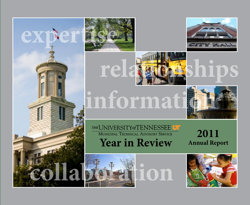





### informat

### **Year in Review** THE UNIVERSITY OF TENNESSEE **UT**<br>MUNICIPAL TECHNICAL ADVISORY SERVICE **2011**

**Annual Report**



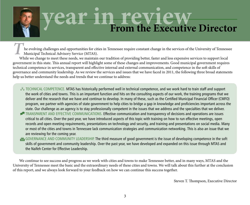# **year in review From the Executive Director**

 he evolving challenges and opportunities for cities in Tennessee require constant change in the services of the University of Tennessee Municipal Technical Advisory Service (MTAS). *T*

While we change to meet these needs, we maintain our tradition of providing better, faster and less expensive services to support local government in this state. This annual report will highlight some of these changes and improvements. Good municipal government requires technical competence in services, transparent and effective internal and external communication, and competence in the soft skills of governance and community leadership. As we review the services and issues that we have faced in 2011, the following three broad statements help us better understand the needs and trends that we continue to address:

For TECHNICAL COMPETENCE. MTAS has historically performed well in technical competence, and we work hard to train staff and support the work of cities and towns. This is an important function and hits on the consulting aspects of our work, the training programs that we deliver and the research that we have and continue to develop. In many of these, such as the Certified Municipal Financial Officer (CMFO) program, we partner with agencies of state government to help cities to bridge a gap in knowledge and proficiencies important across the state. Our challenge as an agency is to stay professionally competent in the issues that we address and the specialties that we deliver.

- Transparent and Effective Communications. Effective communication and transparency of decisions and operations are issues critical to all cities. Over the past year, we have introduced aspects of this topic with training on how to run effective meetings, open records and open meeting requirements, presentations on technology and security, and training and presentations on social media. Many or most of the cities and towns in Tennessee lack communication strategies and communication networking. This is also an issue that we are reviewing for the coming year.
- GOVERNANCE AND COMMUNITY LEADERSHIP. The third measure of good government is the issue of developing competence in the soft skills of government and community leadership. Over the past year, we have developed and expanded on this issue through MTAS and the Naifeh Center for Effective Leadership.

We continue to see success and progress as we work with cities and towns to make Tennessee better, and in many ways, MTAS and the University of Tennessee meet the basic and the extraordinary needs of these cities and towns. We will talk about this further at the conclusion of this report, and we always look forward to your feedback on how we can continue this success together.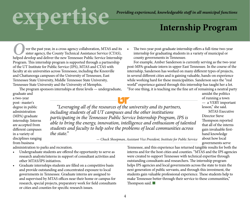### **experienced, knowledgeable staff in all municipal functions**

#### **Internship Program**

 ver the past year, in a cross-agency collaboration, MTAS and its sister agency, the County Technical Assistance Service (CTAS), **Position Act and Service Service Service Service Service Service (CTAS),** helped develop and deliver the new Tennessee Public Service Internship Program. This internship program is supported through a partnership of the UT Institute for Public Service (IPS), MTAS and CTAS with faculty at six universities across Tennessee, including the Knoxville and Chattanooga campuses of the University of Tennessee, East Tennessee State University, Middle Tennessee State University, Tennessee State University and the University of Memphis.

The program sponsors internships at three levels — undergraduate, graduate and

a two-year post- master's degree in public administration (MPA) graduate internship. Interns are accepted from different campuses in a variety of disciplines ranging from business

*"Leveraging all of the resources of the university and its partners, including students of all UT campuses and the other institutions participating in the Tennessee Public Service Internship Program, IPS is able to bring the energy, innovation, intelligence and enthusiasm of talented students and faculty to help solve the problems of local communities across the state."*

*— Chuck Shoopman, Assistant Vice President, Institute for Public Service*

Tennessee, and this experience has returned tangible results for both the interns and for the host cities and counties. "MTAS and the IPS agencies were created to support Tennessee with technical expertise through outstanding consultants and researchers. The internship program helps IPS agencies and local governments across the state to train the next generation of public servants, and through this investment, the students gain valuable professional experience. These students help to make Tennessee better through their service to these communities," Thompson said. ■

lesson," she said. Director Steve

amidst the politics

of running a town — a VERY important MTAS Executive

Thompson reported that all of the interns gain invaluable firsthand knowledge about how local governments serve

4

administration to parks and recreation.

- Undergraduate students are offered the opportunity to serve as research analysts/interns in support of consultant activities and other MTAS/IPS initiatives.
- Graduate internships students are filled on a competitive basis and provide outstanding and concentrated exposure to local governments in Tennessee. Graduate interns are assigned to and supervised by MTAS offices near their home or campus for research, special projects, preparatory work for field consultants or cities and counties for specific research issues.

The two-year post-graduate internship offers a full-time two-year internship for graduating students in a variety of municipal or county governments in Tennessee.

For example, Amber Sanderson is currently serving as the two-year post-MPA-graduate intern in upper East Tennessee. In the course of the internship, Sanderson has worked on many different types of projects, in several different cities and is gaining valuable, hands-on experience while working hard for these municipalities. Sanderson says the "real world" experience gained through this internship has taught her a lot. "For one thing, it is teaching me the fine art of remaining a neutral party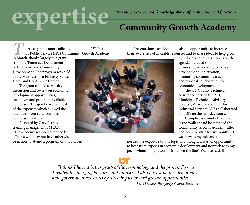### **expertise**

*Providing experienced, knowledgeable staff in all municipal functions*

#### **Community Growth Academy**

 hirty city and county officials attended the UT Institute for Public Service (IPS) Community Growth Academy in March, thanks largely to a grant *T* 

Presentations gave local officials the opportunity to increase their awareness of available resources and to share ideas to help grow

from the Tennessee Department of Economic and Community Development. The program was held at the Murfreesboro Embassy Suites Hotel and Conference Center.

The grant funded a two-day discussion and review on economic development opportunities, incentives and programs available in Tennessee. The grant covered most of the expenses which allowed the attendees from rural counties in Tennessee to attend.

As noted by Gary Petree, training manager with MTAS, "The academy was well attended by officials who may not have otherwise been able to attend a program of this caliber."



their local economies. Topics on the agenda included small business development, workforce development, job creation, promoting community assets and regional collaboration for economic development.

The UT County Technical Assistance Service (CTAS), Municipal Technical Advisory Service (MTAS) and Center for Industrial Services (CIS) collaborated to facilitate the two-day course.

Humphreys County Executive Jessie Wallace said he attended the Community Growth Academy after he'd been in office for six months. "I was new to my role and thought I

needed the exposure to this topic and thought it was an opportunity to hear from experts in economic development and network with my peers whom I might work with down the line," Wallace said. ■

*"I think I have a better grasp of the terminology and the process flow as it related to emerging business and industry. I also have a better idea of how state government assists us by directing us toward growth opportunities."*

*— Jessie Wallace, Humphreys County Executive*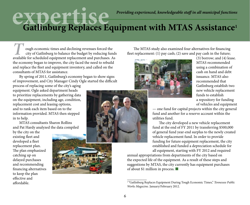## **experienced, knowledgeable staff in all municipal functions**<br> **Gatlinburg Replaces Equipment with MTAS Assistance<sup>1</sup>**

 ough economic times and declining revenues forced the city of Gatlinburg to balance the budget by reducing funds ough economic times and declining revenues forced the city of Gatlinburg to balance the budget by reducing funds available for scheduled equipment replacement and purchases. As the economy began to improve, the city faced the need to rebuild and replace the fleet and equipment inventory, and called on the consultants of MTAS for assistance.

By spring of 2011, Gatlinburg's economy began to show signs of improvement, and City Manager Cindy Ogle started the difficult process of replacing some of the city's aging

equipment. Ogle asked department heads to prioritize replacements by gathering data on the equipment, including age, condition, replacement cost and leasing options, and to rank each item based on to the information provided. MTAS then stepped in to help.

MTAS consultants Sharon Rollins and Pat Hardy analyzed the data compiled

by the city on the existing fleet and developed a fleet replacement plan. The plan emphasized catching up on delayed purchases and recommending financing alternatives to keep the plan effective and affordable.





The MTAS study also examined four alternatives for financing fleet replacement: (1) pay cash; (2) save and pay cash in the future;



(3) borrow; and (4) lease. MTAS recommended using a combination of cash on hand and debt issuance. MTAS also recommended that Gatlinburg establish two new vehicle replacement funds to establish a repository for funding of vehicles and equipment

— one fund for capital projects within the city general fund and another for a reserve account within the utilities fund.

The city developed a new vehicle replacement fund at the end of FY 2011 by transferring \$500,000 of general fund year-end surplus to the newly created vehicle replacement fund. In order to provide funding for future equipment replacement, the city established and funded a depreciation schedule for all equipment, starting with FY 2012 and required

annual appropriations from departments of the city based on the expected life of the equipment. As a result of these steps and suggestions by MTAS, the city currently has equipment purchases of about \$1 million in process. ■

 $\overline{\phantom{a}}$ 1 "Gatlinburg Replaces Equipment During Tough Economic Times," *Tennessee Public Works Magazine*. January/February 2012.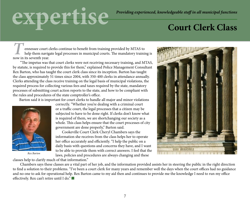### **expertise**

#### **Court Clerk Class**

 ennessee court clerks continue to benefit from training provided by MTAS to help them navigate legal processes in municipal courts. The mandatory training is **n**<br>**P** ennessee court of<br>help them navig<br>now in its seventh year.

 "The impetus was that court clerks were not receiving necessary training, and MTAS, by statute, is required to provide this for them," explained Police Management Consultant Rex Barton, who has taught the court clerk class since its inception. Barton has taught the class approximately 51 times since 2004, with 350-400 clerks in attendance annually. Clerks attending the class receive training on the legal basis of municipal violations, the required process for collecting various fees and taxes required by the state, mandatory processes of submitting court action reports to the state, and how to be compliant with the rules and procedures of the state comptroller's office.

Barton said it is important for court clerks to handle all major and minor violations



*Rex Barton*

classes help to clarify much of that information."

correctly. "Whether you're dealing with a criminal court or a traffic court, the legal processes that a citizen may be subjected to have to be done right. If clerks don't know what is required of them, we are shortchanging our society as a whole. This class helps ensure that the court processes of city government are done properly," Barton said.

Cookeville Court Clerk Cheryl Chambers says the information she receives from the class helps her to operate her office accurately and efficiently. "I help the public on a daily basis with questions and concerns they have, and I want to be able to provide them with correct answers. I feel that the laws, policies and procedures are always changing and these



 Chambers says these classes are a vital part of her job, and the information provided assists her in steering the public in the right direction to find a solution to their problems. "I've been a court clerk for many years and remember well the days when the court offices had no guidance and no one to ask for operational help. Rex Barton came to my aid then and continues to provide me the knowledge I need to run my office effectively. Rex can't retire until I do." ■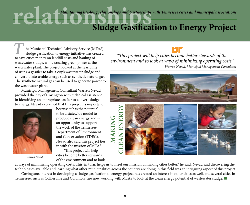### **reduced by** *Maintaining life-long relationships* and partnerships with Tennessee cities and municipal associations **Sludge Gasification to Energy Project**

 he Municipal Technical Advisory Service (MTAS) sludge gasification to energy initiative was created **the Municipal Technical Advisory Service (M**<br>sludge gasification to energy initiative was cr<br>to save cities money on landfill costs and hauling of wastewater sludge, while creating green power at the wastewater plant. The project looked at the feasibility of using a gasifier to take a city's wastewater sludge and convert it into usable energy such as synthetic natural gas. The synthetic natural gas can be used to generate power to the wastewater plant.

Municipal Management Consultant Warren Nevad provided the city of Covington with technical assistance in identifying an appropriate gasifier to convert sludge to energy. Nevad explained that this project is important



because it has the potential to be a statewide model to produce clean energy and is an opportunity to support the work of the Tennessee Department of Environment and Conservation (TDEC). Nevad also said this project ties in with the mission of MTAS. "This project will help

*Warren Nevad*

cities become better stewards of the environment and to look

*"This project will help cities become better stewards of the environment and to look at ways of minimizing operating costs." — Warren Nevad, Municipal Management Consultant*



at ways of minimizing operating costs. This, in turn, helps us to meet our mission of making cities better," he said. Nevad said discovering the technologies available and learning what other municipalities across the country are doing in this field was an intriguing aspect of this project. Covington's interest in developing a sludge gasification to energy project has created an interest in other cities as well, and several cities in

Tennessee, such as Collierville and Columbia, are now working with MTAS to look at the clean energy potential of wastewater sludge. ■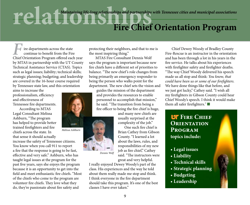**reading the Maintaining life-long relationships and partnerships** with Tennessee cities and municipal associations

### **Fire Chief Orientation Program**

 $\overline{\phantom{a}}$  ire departments across the state continue to benefit from the Fire **F** ire departments across the state<br>continue to benefit from the Fire<br>Chief Orientation Program offered each year by MTAS in partnership with the UT County Technical Assistance Service (CTAS). Topics such as legal issues; liability; technical skills; strategic planning; budgeting; and leadership are covered in the 16-hour course required by Tennessee state law, and this orientation

aims to increase the professionalism, efficiency and effectiveness of Tennessee fire departments.

According to MTAS Legal Consultant Melissa Ashburn, "The program has helped to provide better trained firefighters and fire chiefs across the state. In that sense it should actually increase the safety of Tennessee citizens. You know when you call 911 to report a fire that the response is going to be fast, effective and very safe." Ashburn, who has taught legal issues at the program for the past five years, says she enjoys the program because it is an opportunity to get into the field and meet enthusiastic fire chiefs. "Most of the chiefs who come to the program are volunteer fire chiefs. They love what they do, they're passionate about fire safety and

protecting their neighbors, and that to me is the most inspiring thing."

MTAS Fire Consultant Dennis Wolf says the program is important because new fire chiefs have a different set of priorities to balance. "The new chief 's role changes from being primarily an emergency responder to being the person who walks point for the department. The new chief sets the vision and

guides the mission of the department and provides the resources to enable personnel to accomplish that mission," he said. "The transition from being a fire officer to being the fire chief is huge,

> and many new chiefs are usually surprised at the complexity of the job."

One such fire chief is Brian Cathey from Gibson County. "I learned a lot about the laws, rules, and responsibilities of my new job as fire chief," Cathey said. "The instructors were great and very helpful.

I really enjoyed Dewey Woody's part of the class. His experiences and the way he told about them really made me stop and think. I think everyone in the fire department should take this program. It's one of the best classes I have ever taken."

*Dennis Wolf*

Chief Dewey Woody of Bradley County Fire-Rescue is an instructor in the orientation and has been through a lot in his years in the fire service. He talks about his experiences with firefighter safety and firefighter deaths. "The way Chief Woody delivered his speech made us all stop and think: *You know, that could have been us or some of our firefighters.* We have done things like that before, and we just got lucky," Cathey said. "I wish all my firefighters in Gibson County could hear Chief Woody's speech. I think it would make them all safer firefighters." ■

#### **LIF FIRE CHIEF ORIENTATION Program topics include:**

- **Legal issues**
- **Liability**
- **Technical skills**
- **Strategic planning**
- **Budgeting**
- **Leadership**



*Melissa Ashburn*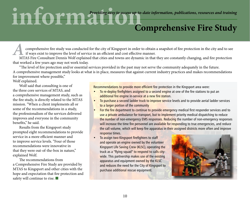### **information** *Providing easy to access up-to-date information, publications, resources and training*

#### **Comprehensive Fire Study**

 comprehensive fire study was conducted for the city of Kingsport in order to obtain a snapshot of fire protection in the city and to see if ways exist to improve the level of service in an efficient and cost effective manner. Figures of the study was conducted for the city of Kingsport in order to obtain a snapshot of fire protection in the city and to see if ways exist to improve the level of service in an efficient and cost effective manner.<br>

that worked a few years ago may not work today.

"The level of fire protection and/or essential services provided in the past may not serve the community adequately in the future. A comprehensive management study looks at what is in place, measures that against current industry practices and makes recommendations for improvement where possible,"

Wolf explained.

Wolf said that consulting is one of the three core services of MTAS, and a comprehensive management study, such as the fire study, is directly related to the MTAS mission. "When a client implements all or some of the recommendations in a study, the professionalism of the services delivered improves and everyone in the community benefits," he said.

Results from the Kingsport study prompted eight recommendations to provide service in a more efficient manner and to improve service levels. "Four of those recommendations were innovative in that they were out-of-the-box in nature," explained Wolf.

The recommendations from a Comprehensive Fire Study are provided by MTAS to Kingsport and other cities with the hope and expectation that fire protection and safety will continue to rise. ■

Recommendations to provide more efficient fire protection in the Kingsport area were:

- To re-deploy firefighters assigned to a second engine at one of the fire stations to put an additional fire engine in-service at a new fire station.
- To purchase a second ladder truck to improve service levels and to provide aerial ladder services to a larger portion of the community
- For the fire department to continue to provide emergency medical first responder services and to use a private ambulance for transport, but to implement priority medical dispatching to reduce the number of non-emergency EMS responses. Reducing the number of non-emergency responses will increase the time fire personnel are available for responding to true emergencies, and reduce the call volume, which will keep fire apparatus in their assigned districts more often and improve response times.
- To assign two Kingsport firefighters to staff and operate an engine owned by the volunteer Kingsport Life Saving Crew (KLSC), operating the truck as a "flying squad" to respond to calls citywide. This partnership makes use of the existing apparatus and equipment owned by the KLSC and reduces the need for the City of Kingsport to purchase additional rescue equipment.

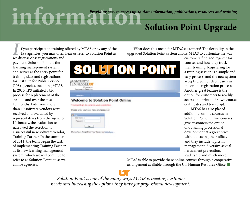### **information** *Providing easy to access up-to-date information, publications, resources and training* **Solution Point Upgrade**

 f you participate in training offered by MTAS or by any of the IPS agencies, you may often hear us refer to Solution Point as *I* f you participate in training IPS agencies, you may often we discuss class registrations and

payment. Solution Point is the learning management system and serves as the entry point for training class and registrations for Institute for Public Service (IPS) agencies, including MTAS. In 2010, IPS initiated a bid process for replacement of the system, and over the past 15 months, bids from more than 10 software vendors were received and evaluated by representatives from the agencies. Ultimately, the evaluation team narrowed the selection to a successful new software vendor, Training Partner. In the summer of 2011, the team began the task of implementing Training Partner as its new learning management system, which we will continue to refer to as Solution Point, to serve all five agencies.



What does this mean for MTAS customers? The flexibility in the upgraded Solution Point system allows MTAS to customize the way customers find and register for

courses and how they track their training. Registering for a training session is a simple and easy process, and the new system accepts credit or debit cards in the online registration process. Another great feature is the option for customers to readily access and print their own course certificates and transcript.

MTAS has also placed additional online courses in Solution Point. Online courses give customers the option of obtaining professional development at a great price without leaving their office, and they include topics in management, diversity, sexual harassment prevention, leadership and much more.

MTAS is able to provide these online courses through a cooperative arrangement available through the UT Human Resource Office. ■

*Solution Point is one of the many ways MTAS is meeting customer needs and increasing the options they have for professional development.*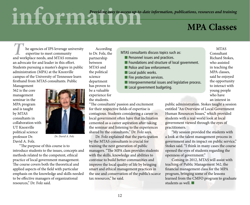### **information** *Providing easy to access up-to-date information, publications, resources and training*

#### **MPA Classes**

 he agencies of IPS leverage university expertise to meet community **A** he agencies of IPS leverage univerexpertise to meet community and workplace needs, and MTAS remains an advocate for and leader in this effort. Students pursuing a master's degree in public administration (MPA) at the Knoxville campus of the University of Tennessee learn firsthand from MTAS consultants. Public

Management 562 is the core management seminar in the MPA program and is taught by MTAS consultants in collaboration with UT Knoxville political science professor Dr. David A. Folz.



*Dr. David A. Folz*

"The purpose of this course is to introduce students to the issues, concepts and methods related to the competent, ethical practice of local government management. The course covers both the theoretical and applied aspects of the field with particular emphasis on the knowledge and skills needed to be effective managers of organizational resources," Dr. Folz said.

According to Dr. Folz, the partnership between MTAS and the political science department has proven to be a valuable experience for the students.

"The consultants' passion and excitement for their respective fields of expertise is contagious. Students considering a career in local government often have that inclination cemented as a career aspiration after taking the seminar and listening to the experiences shared by the consultants," Dr. Folz says.

Dr. Folz explained that the participation by the MTAS consultants is crucial for training the next generation of public managers. "The MPA class provides students with the skills, knowledge and abilities to continue to build better communities and improve the local quality of life by bringing smart and ethical management practices in the use and conservation of the public's scarce tax resources," he said.

MTAS consultants discuss topics such as:

- Personnel issues and practices.
- Foundations and structure of local government.
- Police and law enforcement.
- Local public works.
- Fire protection services.
- Intergovernmental issues and legislative process.
- Local government budgeting.

**MTAS** Consultant Richard Stokes, who assisted in teaching the MPA classes, said he enjoyed the opportunity to interact with young people who have an interest in

public administration. Stokes taught a session entitled "An Overview of Local Government Human Resources Issues," which provided students with a real world look at local government viewed through the eyes of practitioners.

"My session provided the students with a look at the talent management process in government and its impact on public service," Stokes said. "I think in many cases the course opened the eyes of students regarding the openness of government."

Coming in 2012, MTAS will assist with teaching of Public Management 562, the financial management class for the MPA program, bringing some of the lessons learned from the CMFO program to graduate students as well. ■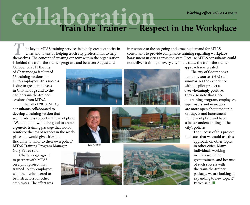# **collaboration**<br>Train the Trainer — Respect in the Workplace

 he key to MTAS training services is to help create capacity in cities and towns by helping teach city professionals to help The key to MTAS training services is to help create capacity in cities and towns by helping teach city professionals to help themselves. The concept of creating capacity within the organization is behind the train-the-trainer program, and between August and

in response to the on-going and growing demand for MTAS consultants to provide compliance training regarding workplace harassment in cities across the state. Because MTAS consultants could not deliver training to every city in the state, the train-the-trainer

October of 2011 the city of Chattanooga facilitated 53 training sessions for 1,539 employees. This success is due to great employees in Chattanooga and to the earlier train-the-trainer sessions from MTAS.

In the fall of 2010, MTAS consultants collaborated to develop a training session that would address respect in the workplace. "We thought it would be good to create a generic training package that would reinforce the law of respect in the workplace and would give cities the flexibility to tailor to their own policy," MTAS Training Program Manager Gary Petree said.

Chattanooga agreed to partner with MTAS on a pilot project that trained 16 city employees who then volunteered to be instructors for other employees. The effort was







*Gary Petree*



approach was created.

The city of Chattanooga human resources (HR) staff summarizes the experience with the pilot project as overwhelmingly positive. They also note that since the training program, employees, supervisors and managers are more open about the topic of respect and harassment in the workplace and have a better understanding of the city's policies.

"The success of this project indicates that we could use this approach on other topics in other cities. Many individuals working in cities would be great trainers, and because of such success with the train-the-trainer package, we are looking at expanding to new topics," Petree said. ■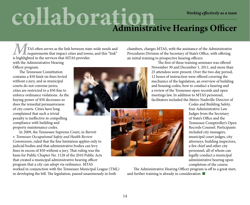# **collaboration** *Working effectively as a team* **Administrative Hearings Officer**

 TAS often serves as the link between state-wide needs and requirements that impact cities and towns, and this "link" **ISPN** TAS often serves as the link between stat requirements that impact cities and town is highlighted in the services that MTAS provides with the Administrative Hearing Officer program.

The Tennessee Constitution contains a \$50 limit on fines levied without a jury, and as municipal courts do not convene juries, cities are restricted to a \$50 fine to enforce ordinance violations. As the buying power of \$50 decreases so does the remedial persuasiveness of city courts. Cities have long complained that such a trivial penalty is ineffective in compelling compliance with building and property maintenance codes.

In 2009, the Tennessee Supreme Court, in *Barrett v. Tennessee Occupational Safety and Health Review Commission*, ruled that the fine limitation applies only to judicial bodies and that administrative bodies can levy fines in excess of \$50 without a jury. That ruling was the basis for Public Chapter No. 1128 of the 2010 Public Acts that created a municipal administrative hearing officer program that a city can adopt via ordinance. MTAS worked in conjunction with the Tennessee Municipal League (TML) in developing the bill. The legislation, passed unanimously in both

chambers, charges MTAS, with the assistance of the Administrative Procedures Division of the Secretary of State's Office, with offering an initial training to prospective hearing officers.

The first of these training seminars was offered November 30 and December 1, 2011, and more than 25 attendees were present. Over the two-day period, 12 hours of instruction were offered covering the mechanics of the legislation, an overview of building and housing codes, how to conduct a hearing and a review of the Tennessee open records and open meetings law. In addition to MTAS personnel, facilitators included the Metro-Nashville Director of



Codes and Building Safety, four Administrative Law Judges from the Secretary of State's Office and the Tennessee Comptroller's Open Records Counsel. Participants included city managers, municipal court judges, city attorneys, building inspectors, a fire chief and other city personnel, all of whom can legally conduct a municipal administrative hearing upon completion of the course.

The Administrative Hearing Officer program is off to a great start, and further training is already in consideration. ■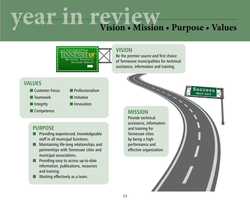# **year in review Vision • Mission • Purpose • Values**



#### **VISION**

Be the premier source and first choice of Tennessee municipalities for technical assistance, information and training.

#### **VALUES**

- Customer Focus Professionalism
- Teamwork Initiative
- Integrity Innovation
- 
- Competence **MISSION**

- **PURPOSE** ■ Providing experienced, knowledgeable staff in all municipal functions.
- Maintaining life-long relationships and partnerships with Tennessee cities and municipal associations.
- Providing easy to access up-to-date information, publications, resources and training.
- Working effectively as a team.

Provide technical assistance, information and training for Tennessee cities by being a highperformance and effective organization.

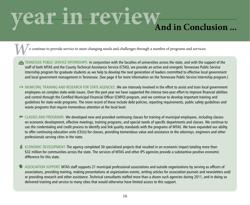# **year in review**<br>And in Conclusion ...

e continue to provide service to meet changing needs and challenges through a number of programs and services:

- TENNESSEE PUBLIC SERVICE INTERNSHIPS. In conjunction with the faculties of universities across the state, and with the support of the staff of both MTAS and the County Technical Assistance Service (CTAS), we provide an active and energetic Tennessee Public Service Internship program for graduate students as we help to develop the next generation of leaders committed to effective local government and local government management in Tennessee. (See page 4 for more information on the Tennessee Public Service Internship program.)
- MUNICIPAL TRAINING AND RESEARCH FOR STATE AGENCIES. We are intensely involved in the effort to assist and train local government employees on complex state-wide issues. Over the past year we have supported the intense two-year effort to improve financial abilities and control through the Certified Municipal Financial Officer (CMFO) program, and we continue to develop important training and guidelines for state-wide programs. The more recent of these include debt policies, reporting requirements, public safety guidelines and waste programs that require tremendous attention at the local level.
- CLASSES AND PROGRAMS. We developed new and provided continuing classes for training of municipal employees, including classes on economic development, effective meetings, training programs, and special needs of specific departments and classes. We continue to use the credentialing and credit process to identify and link quality standards with the programs of MTAS. We have expanded our ability to offer continuing education units (CEUs) for classes, providing tremendous value and assistance to the attorneys, engineers and other professionals serving cities in the state.
- $\ddot{\bullet}$  ECONOMIC DEVELOPMENT. The agency completed 30 specialized projects that resulted in an economic impact totaling more than \$32 million for communities across the state. The services of MTAS and other IPS agencies provide a substantive positive economic difference for this state.
- **●** ASSOCIATION SUPPORT. MTAS staff supports 21 municipal professional associations and outside organizations by serving as officers of associations, providing training, making presentations at organization events, writing articles for association journals and newsletters and/ or providing research and other assistance. Technical consultants staffed more than a dozen such agencies during 2011, and in doing so delivered training and service to many cities that would otherwise have limited access to this support.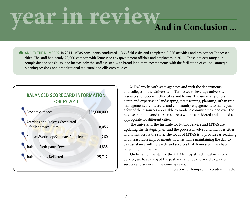## **year in review**<br>And in Conclusion ...

**#M** AND BY THE NUMBERS. In 2011, MTAS consultants conducted 1,366 field visits and completed 8,056 activities and projects for Tennessee cities. The staff had nearly 20,000 contacts with Tennessee city government officials and employees in 2011. These projects ranged in complexity and sensitivity, and increasingly the staff assisted with broad long-term commitments with the facilitation of council strategic planning sessions and organizational structural and efficiency studies.

#### **BALANCED SCORECARD INFORMATION FOR FY 2011**

| Economic Impact \$32,000,000                                          |  |
|-----------------------------------------------------------------------|--|
| <b>Activities and Projects Completed</b><br>for Tennessee Cities8,056 |  |
| Courses/Workshop/Seminars Completed1,260                              |  |
| Training Participants Served 4,835                                    |  |
| Training Hours Delivered 25,712                                       |  |

MTAS works with state agencies and with the departments and colleges of the University of Tennessee to leverage university resources to support better cities and towns. The university offers depth and expertise in landscaping, streetscaping, planning, urban tree management, architecture, and community engagement, to name just a few of the resources applicable to modern communities, and over the next year and beyond these resources will be considered and applied as appropriate for different cities.

The university, the Institute for Public Service and MTAS are updating the strategic plan, and the process involves and includes cities and towns across the state. The focus of MTAS is to provide far-reaching and measurable improvements in cities while maintaining the day-today assistance with research and services that Tennessee cities have relied upon in the past.

On behalf of the staff of the UT Municipal Technical Advisory Service, we have enjoyed the past year and look forward to greater success and service in the coming years.

Steven T. Thompson, Executive Director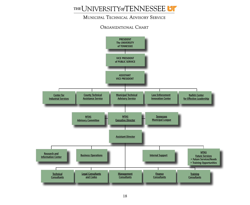

#### Municipal Technical Advisory Service

#### Organizational Chart

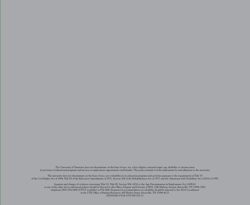The University of Tennessee does not discriminate on the basis of race, sex, color, religion, national origin, age, disability or veteran status in provision of educational programs and services or employment opportunities and benefits. This policy extends to both employment by and admission to the university.

The university does not discriminate on the basis of race, sex or disability in its education programs and activities pursuant to the requirements of Title VI of the Civil Rights Act of 1964, Title IX of the Education Amendments of 1972, Section 504 of the Rehabilitation Act of 1973, and the Americans with Disabilities Act (ADA) of 1990.

Inquiries and charges of violation concerning Title VI, Title IX, Section 504, ADA or the Age Discrimination in Employment Act (ADEA) or any of the other above referenced policies should be directed to the Office of Equity and Diversity (OED), 1840 Melrose Avenue, Knoxville, TN 37996-3560, telephone (865) 974‑2498 (V/TTY available) or 974-2440. Requests for accommodation of a disability should be directed to the ADA Coordinator at the UTK Office of Human Resources, 600 Henley Street, Knoxville, TN 37996‑4125. MTAS1641 • E14-1050-000-030-12